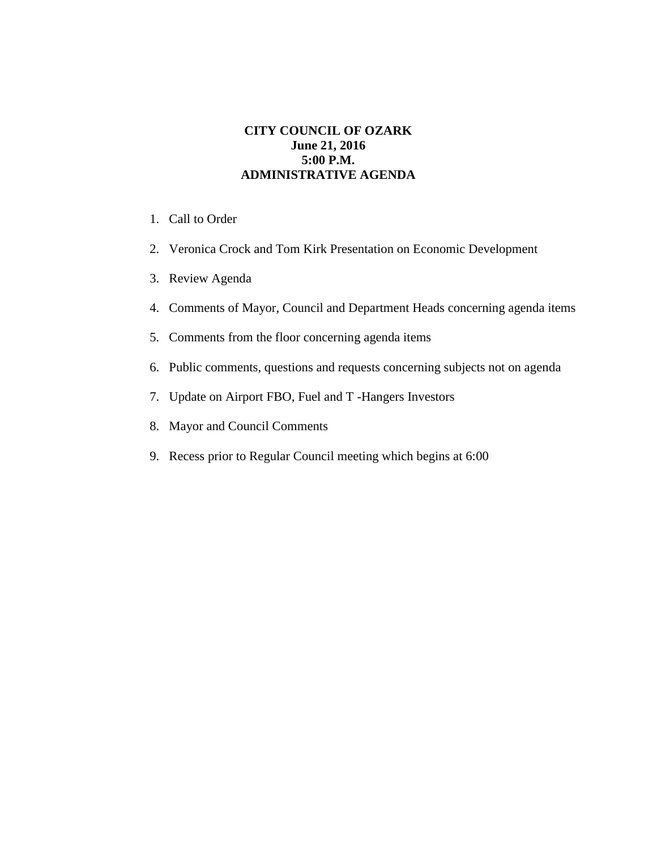## **CITY COUNCIL OF OZARK June 21, 2016 5:00 P.M. ADMINISTRATIVE AGENDA**

- 1. Call to Order
- 2. Veronica Crock and Tom Kirk Presentation on Economic Development
- 3. Review Agenda
- 4. Comments of Mayor, Council and Department Heads concerning agenda items
- 5. Comments from the floor concerning agenda items
- 6. Public comments, questions and requests concerning subjects not on agenda
- 7. Update on Airport FBO, Fuel and T -Hangers Investors
- 8. Mayor and Council Comments
- 9. Recess prior to Regular Council meeting which begins at 6:00